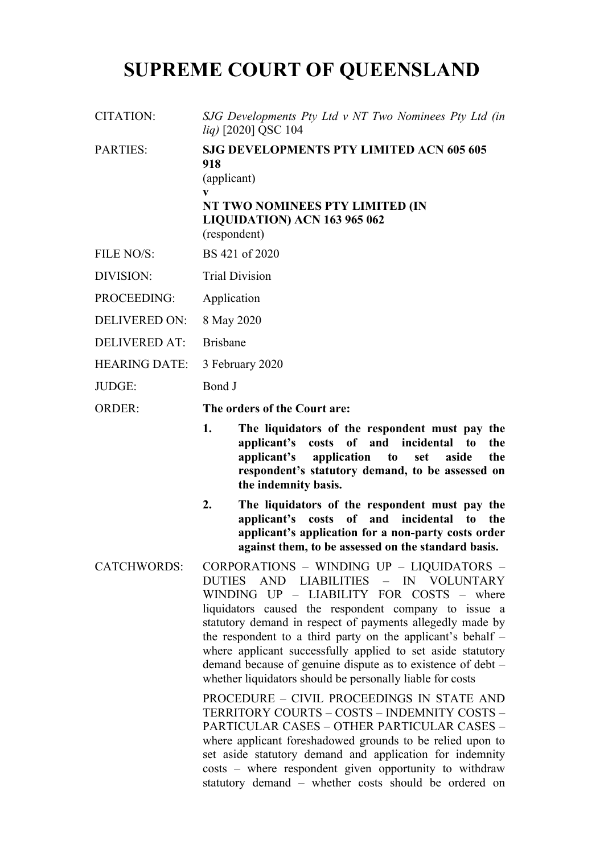# **SUPREME COURT OF QUEENSLAND**

CITATION: *SJG Developments Pty Ltd v NT Two Nominees Pty Ltd (in liq)* [2020] QSC 104

PARTIES: **SJG DEVELOPMENTS PTY LIMITED ACN 605 605 918** (applicant) **v NT TWO NOMINEES PTY LIMITED (IN LIQUIDATION) ACN 163 965 062** (respondent)

- FILE NO/S: BS 421 of 2020
- DIVISION: Trial Division
- PROCEEDING: Application
- DELIVERED ON: 8 May 2020
- DELIVERED AT: Brisbane
- HEARING DATE: 3 February 2020
- JUDGE: Bond J

ORDER: **The orders of the Court are:**

- **1. The liquidators of the respondent must pay the applicant's costs of and incidental to the applicant's application to set aside the respondent's statutory demand, to be assessed on the indemnity basis.**
- **2. The liquidators of the respondent must pay the applicant's costs of and incidental to the applicant's application for a non-party costs order against them, to be assessed on the standard basis.**
- CATCHWORDS: CORPORATIONS WINDING UP LIQUIDATORS DUTIES AND LIABILITIES – IN VOLUNTARY WINDING UP – LIABILITY FOR COSTS – where liquidators caused the respondent company to issue a statutory demand in respect of payments allegedly made by the respondent to a third party on the applicant's behalf – where applicant successfully applied to set aside statutory demand because of genuine dispute as to existence of debt – whether liquidators should be personally liable for costs

PROCEDURE – CIVIL PROCEEDINGS IN STATE AND TERRITORY COURTS – COSTS – INDEMNITY COSTS – PARTICULAR CASES – OTHER PARTICULAR CASES – where applicant foreshadowed grounds to be relied upon to set aside statutory demand and application for indemnity costs – where respondent given opportunity to withdraw statutory demand – whether costs should be ordered on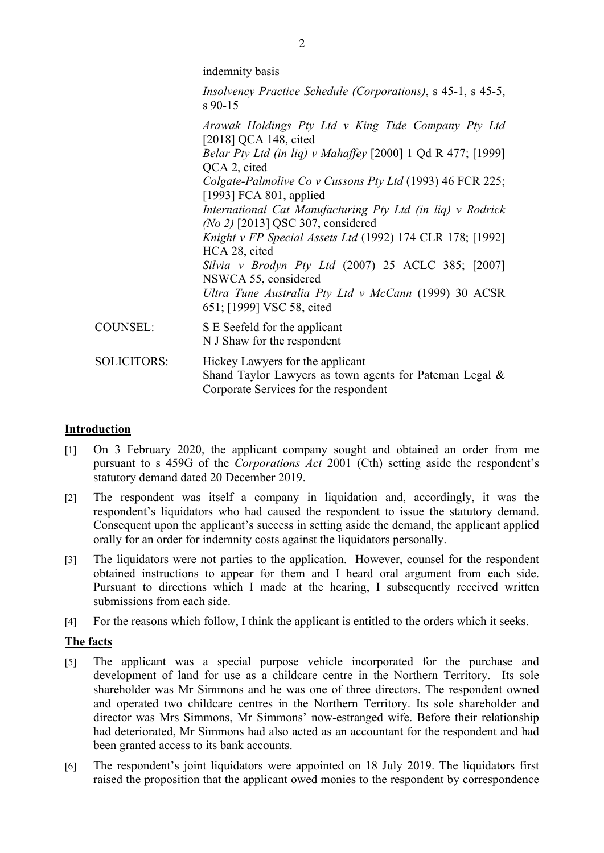|                    | <i>Insolvency Practice Schedule (Corporations)</i> , s 45-1, s 45-5,<br>$s$ 90-15                                                       |
|--------------------|-----------------------------------------------------------------------------------------------------------------------------------------|
|                    | Arawak Holdings Pty Ltd v King Tide Company Pty Ltd<br>[2018] QCA 148, cited                                                            |
|                    | <i>Belar Pty Ltd (in liq) v Mahaffey</i> [2000] 1 Qd R 477; [1999]<br>QCA 2, cited                                                      |
|                    | Colgate-Palmolive Co v Cussons Pty Ltd (1993) 46 FCR 225;<br>[1993] FCA 801, applied                                                    |
|                    | International Cat Manufacturing Pty Ltd (in liq) v Rodrick<br>$(No 2)$ [2013] QSC 307, considered                                       |
|                    | Knight v FP Special Assets Ltd (1992) 174 CLR 178; [1992]<br>HCA 28, cited                                                              |
|                    | Silvia v Brodyn Pty Ltd $(2007)$ 25 ACLC 385; [2007]<br>NSWCA 55, considered                                                            |
|                    | Ultra Tune Australia Pty Ltd v McCann (1999) 30 ACSR<br>651; [1999] VSC 58, cited                                                       |
| <b>COUNSEL:</b>    | S E Seefeld for the applicant<br>N J Shaw for the respondent                                                                            |
| <b>SOLICITORS:</b> | Hickey Lawyers for the applicant<br>Shand Taylor Lawyers as town agents for Pateman Legal $\&$<br>Corporate Services for the respondent |
|                    |                                                                                                                                         |

### **Introduction**

- [1] On 3 February 2020, the applicant company sought and obtained an order from me pursuant to s 459G of the *Corporations Act* 2001 (Cth) setting aside the respondent's statutory demand dated 20 December 2019.
- [2] The respondent was itself a company in liquidation and, accordingly, it was the respondent's liquidators who had caused the respondent to issue the statutory demand. Consequent upon the applicant's success in setting aside the demand, the applicant applied orally for an order for indemnity costs against the liquidators personally.
- [3] The liquidators were not parties to the application. However, counsel for the respondent obtained instructions to appear for them and I heard oral argument from each side. Pursuant to directions which I made at the hearing, I subsequently received written submissions from each side.
- [4] For the reasons which follow, I think the applicant is entitled to the orders which it seeks.

#### **The facts**

- [5] The applicant was a special purpose vehicle incorporated for the purchase and development of land for use as a childcare centre in the Northern Territory. Its sole shareholder was Mr Simmons and he was one of three directors. The respondent owned and operated two childcare centres in the Northern Territory. Its sole shareholder and director was Mrs Simmons, Mr Simmons' now-estranged wife. Before their relationship had deteriorated, Mr Simmons had also acted as an accountant for the respondent and had been granted access to its bank accounts.
- [6] The respondent's joint liquidators were appointed on 18 July 2019. The liquidators first raised the proposition that the applicant owed monies to the respondent by correspondence

indemnity basis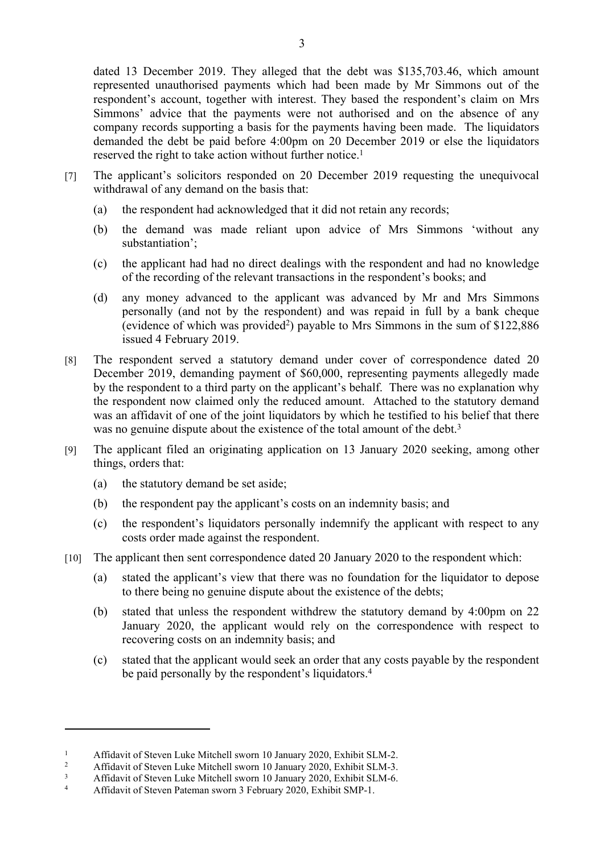dated 13 December 2019. They alleged that the debt was \$135,703.46, which amount represented unauthorised payments which had been made by Mr Simmons out of the respondent's account, together with interest. They based the respondent's claim on Mrs Simmons' advice that the payments were not authorised and on the absence of any company records supporting a basis for the payments having been made. The liquidators demanded the debt be paid before 4:00pm on 20 December 2019 or else the liquidators reserved the right to take action without further notice.<sup>1</sup>

- [7] The applicant's solicitors responded on 20 December 2019 requesting the unequivocal withdrawal of any demand on the basis that:
	- (a) the respondent had acknowledged that it did not retain any records;
	- (b) the demand was made reliant upon advice of Mrs Simmons 'without any substantiation';
	- (c) the applicant had had no direct dealings with the respondent and had no knowledge of the recording of the relevant transactions in the respondent's books; and
	- (d) any money advanced to the applicant was advanced by Mr and Mrs Simmons personally (and not by the respondent) and was repaid in full by a bank cheque (evidence of which was provided<sup>2</sup>) payable to Mrs Simmons in the sum of \$122,886 issued 4 February 2019.
- [8] The respondent served a statutory demand under cover of correspondence dated 20 December 2019, demanding payment of \$60,000, representing payments allegedly made by the respondent to a third party on the applicant's behalf. There was no explanation why the respondent now claimed only the reduced amount. Attached to the statutory demand was an affidavit of one of the joint liquidators by which he testified to his belief that there was no genuine dispute about the existence of the total amount of the debt.<sup>3</sup>
- [9] The applicant filed an originating application on 13 January 2020 seeking, among other things, orders that:
	- (a) the statutory demand be set aside;
	- (b) the respondent pay the applicant's costs on an indemnity basis; and
	- (c) the respondent's liquidators personally indemnify the applicant with respect to any costs order made against the respondent.
- [10] The applicant then sent correspondence dated 20 January 2020 to the respondent which:
	- (a) stated the applicant's view that there was no foundation for the liquidator to depose to there being no genuine dispute about the existence of the debts;
	- (b) stated that unless the respondent withdrew the statutory demand by 4:00pm on 22 January 2020, the applicant would rely on the correspondence with respect to recovering costs on an indemnity basis; and
	- (c) stated that the applicant would seek an order that any costs payable by the respondent be paid personally by the respondent's liquidators.<sup>4</sup>

<sup>1</sup> Affidavit of Steven Luke Mitchell sworn 10 January 2020, Exhibit SLM-2.

<sup>2</sup> Affidavit of Steven Luke Mitchell sworn 10 January 2020, Exhibit SLM-3.

<sup>3</sup> Affidavit of Steven Luke Mitchell sworn 10 January 2020, Exhibit SLM-6.

<sup>4</sup> Affidavit of Steven Pateman sworn 3 February 2020, Exhibit SMP-1.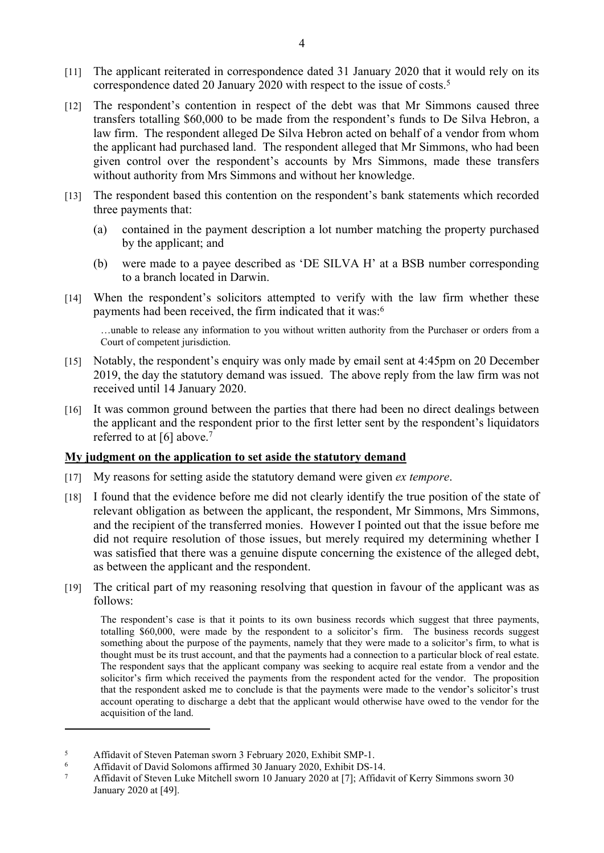- [11] The applicant reiterated in correspondence dated 31 January 2020 that it would rely on its correspondence dated 20 January 2020 with respect to the issue of costs.<sup>5</sup>
- [12] The respondent's contention in respect of the debt was that Mr Simmons caused three transfers totalling \$60,000 to be made from the respondent's funds to De Silva Hebron, a law firm. The respondent alleged De Silva Hebron acted on behalf of a vendor from whom the applicant had purchased land. The respondent alleged that Mr Simmons, who had been given control over the respondent's accounts by Mrs Simmons, made these transfers without authority from Mrs Simmons and without her knowledge.
- [13] The respondent based this contention on the respondent's bank statements which recorded three payments that:
	- (a) contained in the payment description a lot number matching the property purchased by the applicant; and
	- (b) were made to a payee described as 'DE SILVA H' at a BSB number corresponding to a branch located in Darwin.
- [14] When the respondent's solicitors attempted to verify with the law firm whether these payments had been received, the firm indicated that it was:<sup>6</sup>

…unable to release any information to you without written authority from the Purchaser or orders from a Court of competent jurisdiction.

- [15] Notably, the respondent's enquiry was only made by email sent at 4:45pm on 20 December 2019, the day the statutory demand was issued. The above reply from the law firm was not received until 14 January 2020.
- [16] It was common ground between the parties that there had been no direct dealings between the applicant and the respondent prior to the first letter sent by the respondent's liquidators referred to at [6] above.<sup>7</sup>

#### **My judgment on the application to set aside the statutory demand**

- [17] My reasons for setting aside the statutory demand were given *ex tempore*.
- [18] I found that the evidence before me did not clearly identify the true position of the state of relevant obligation as between the applicant, the respondent, Mr Simmons, Mrs Simmons, and the recipient of the transferred monies. However I pointed out that the issue before me did not require resolution of those issues, but merely required my determining whether I was satisfied that there was a genuine dispute concerning the existence of the alleged debt, as between the applicant and the respondent.
- [19] The critical part of my reasoning resolving that question in favour of the applicant was as follows:

The respondent's case is that it points to its own business records which suggest that three payments, totalling \$60,000, were made by the respondent to a solicitor's firm. The business records suggest something about the purpose of the payments, namely that they were made to a solicitor's firm, to what is thought must be its trust account, and that the payments had a connection to a particular block of real estate. The respondent says that the applicant company was seeking to acquire real estate from a vendor and the solicitor's firm which received the payments from the respondent acted for the vendor. The proposition that the respondent asked me to conclude is that the payments were made to the vendor's solicitor's trust account operating to discharge a debt that the applicant would otherwise have owed to the vendor for the acquisition of the land.

<sup>5</sup> Affidavit of Steven Pateman sworn 3 February 2020, Exhibit SMP-1.

<sup>6</sup> Affidavit of David Solomons affirmed 30 January 2020, Exhibit DS-14.

<sup>7</sup> Affidavit of Steven Luke Mitchell sworn 10 January 2020 at [7]; Affidavit of Kerry Simmons sworn 30 January 2020 at [49].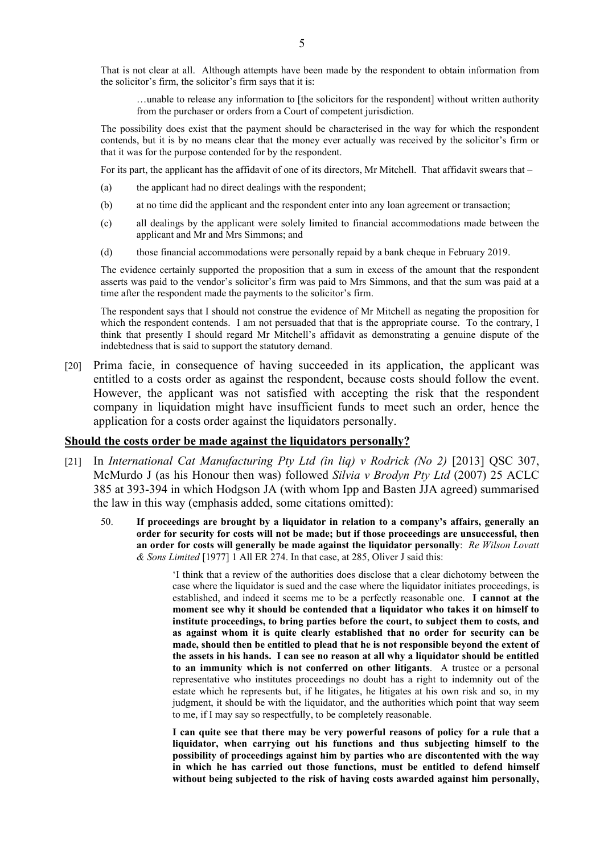…unable to release any information to [the solicitors for the respondent] without written authority from the purchaser or orders from a Court of competent jurisdiction.

The possibility does exist that the payment should be characterised in the way for which the respondent contends, but it is by no means clear that the money ever actually was received by the solicitor's firm or that it was for the purpose contended for by the respondent.

For its part, the applicant has the affidavit of one of its directors, Mr Mitchell. That affidavit swears that –

- (a) the applicant had no direct dealings with the respondent;
- (b) at no time did the applicant and the respondent enter into any loan agreement or transaction;
- (c) all dealings by the applicant were solely limited to financial accommodations made between the applicant and Mr and Mrs Simmons; and
- (d) those financial accommodations were personally repaid by a bank cheque in February 2019.

The evidence certainly supported the proposition that a sum in excess of the amount that the respondent asserts was paid to the vendor's solicitor's firm was paid to Mrs Simmons, and that the sum was paid at a time after the respondent made the payments to the solicitor's firm.

The respondent says that I should not construe the evidence of Mr Mitchell as negating the proposition for which the respondent contends. I am not persuaded that that is the appropriate course. To the contrary, I think that presently I should regard Mr Mitchell's affidavit as demonstrating a genuine dispute of the indebtedness that is said to support the statutory demand.

[20] Prima facie, in consequence of having succeeded in its application, the applicant was entitled to a costs order as against the respondent, because costs should follow the event. However, the applicant was not satisfied with accepting the risk that the respondent company in liquidation might have insufficient funds to meet such an order, hence the application for a costs order against the liquidators personally.

#### **Should the costs order be made against the liquidators personally?**

- [21] In *International Cat Manufacturing Pty Ltd (in liq) v Rodrick (No 2)* [2013] QSC 307, McMurdo J (as his Honour then was) followed *Silvia v Brodyn Pty Ltd* (2007) 25 ACLC 385 at 393-394 in which Hodgson JA (with whom Ipp and Basten JJA agreed) summarised the law in this way (emphasis added, some citations omitted):
	- 50. **If proceedings are brought by a liquidator in relation to a company's affairs, generally an order for security for costs will not be made; but if those proceedings are unsuccessful, then an order for costs will generally be made against the liquidator personally**: *Re Wilson Lovatt & Sons Limited* [1977] 1 All ER 274. In that case, at 285, Oliver J said this:

'I think that a review of the authorities does disclose that a clear dichotomy between the case where the liquidator is sued and the case where the liquidator initiates proceedings, is established, and indeed it seems me to be a perfectly reasonable one. **I cannot at the moment see why it should be contended that a liquidator who takes it on himself to institute proceedings, to bring parties before the court, to subject them to costs, and as against whom it is quite clearly established that no order for security can be made, should then be entitled to plead that he is not responsible beyond the extent of the assets in his hands. I can see no reason at all why a liquidator should be entitled to an immunity which is not conferred on other litigants**. A trustee or a personal representative who institutes proceedings no doubt has a right to indemnity out of the estate which he represents but, if he litigates, he litigates at his own risk and so, in my judgment, it should be with the liquidator, and the authorities which point that way seem to me, if I may say so respectfully, to be completely reasonable.

**I can quite see that there may be very powerful reasons of policy for a rule that a liquidator, when carrying out his functions and thus subjecting himself to the possibility of proceedings against him by parties who are discontented with the way in which he has carried out those functions, must be entitled to defend himself without being subjected to the risk of having costs awarded against him personally,**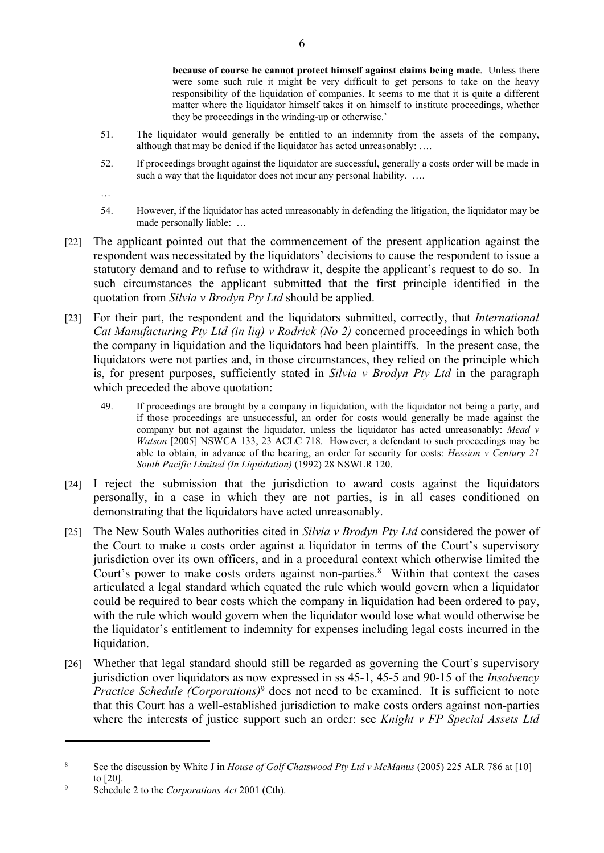**because of course he cannot protect himself against claims being made**. Unless there were some such rule it might be very difficult to get persons to take on the heavy responsibility of the liquidation of companies. It seems to me that it is quite a different matter where the liquidator himself takes it on himself to institute proceedings, whether they be proceedings in the winding-up or otherwise.'

- 51. The liquidator would generally be entitled to an indemnity from the assets of the company, although that may be denied if the liquidator has acted unreasonably: ….
- 52. If proceedings brought against the liquidator are successful, generally a costs order will be made in such a way that the liquidator does not incur any personal liability. ....

…

- 54. However, if the liquidator has acted unreasonably in defending the litigation, the liquidator may be made personally liable: …
- [22] The applicant pointed out that the commencement of the present application against the respondent was necessitated by the liquidators' decisions to cause the respondent to issue a statutory demand and to refuse to withdraw it, despite the applicant's request to do so. In such circumstances the applicant submitted that the first principle identified in the quotation from *Silvia v Brodyn Pty Ltd* should be applied.
- [23] For their part, the respondent and the liquidators submitted, correctly, that *International Cat Manufacturing Pty Ltd (in liq) v Rodrick (No 2)* concerned proceedings in which both the company in liquidation and the liquidators had been plaintiffs. In the present case, the liquidators were not parties and, in those circumstances, they relied on the principle which is, for present purposes, sufficiently stated in *Silvia v Brodyn Pty Ltd* in the paragraph which preceded the above quotation:
	- 49. If proceedings are brought by a company in liquidation, with the liquidator not being a party, and if those proceedings are unsuccessful, an order for costs would generally be made against the company but not against the liquidator, unless the liquidator has acted unreasonably: *Mead v Watson* [2005] NSWCA 133, 23 ACLC 718. However, a defendant to such proceedings may be able to obtain, in advance of the hearing, an order for security for costs: *Hession v Century 21 South Pacific Limited (In Liquidation)* (1992) 28 NSWLR 120.
- [24] I reject the submission that the jurisdiction to award costs against the liquidators personally, in a case in which they are not parties, is in all cases conditioned on demonstrating that the liquidators have acted unreasonably.
- [25] The New South Wales authorities cited in *Silvia v Brodyn Pty Ltd* considered the power of the Court to make a costs order against a liquidator in terms of the Court's supervisory jurisdiction over its own officers, and in a procedural context which otherwise limited the Court's power to make costs orders against non-parties.<sup>8</sup> Within that context the cases articulated a legal standard which equated the rule which would govern when a liquidator could be required to bear costs which the company in liquidation had been ordered to pay, with the rule which would govern when the liquidator would lose what would otherwise be the liquidator's entitlement to indemnity for expenses including legal costs incurred in the liquidation.
- [26] Whether that legal standard should still be regarded as governing the Court's supervisory jurisdiction over liquidators as now expressed in ss 45-1, 45-5 and 90-15 of the *Insolvency Practice Schedule (Corporations)<sup>9</sup>* does not need to be examined. It is sufficient to note that this Court has a well-established jurisdiction to make costs orders against non-parties where the interests of justice support such an order: see *Knight v FP Special Assets Ltd*

<sup>8</sup> See the discussion by White J in *House of Golf Chatswood Pty Ltd v McManus* (2005) 225 ALR 786 at [10] to [20].

<sup>9</sup> Schedule 2 to the *Corporations Act* 2001 (Cth).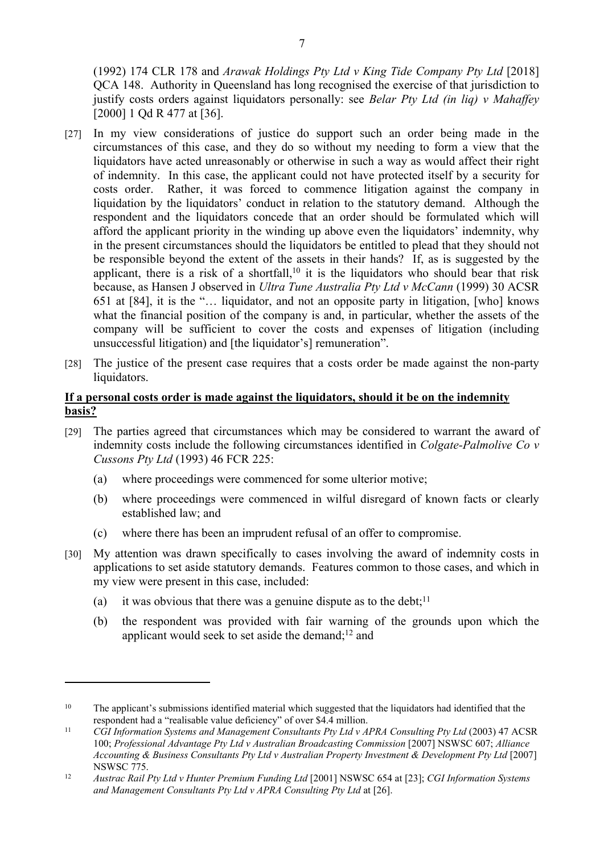(1992) 174 CLR 178 and *Arawak Holdings Pty Ltd v King Tide Company Pty Ltd* [2018] QCA 148. Authority in Queensland has long recognised the exercise of that jurisdiction to justify costs orders against liquidators personally: see *Belar Pty Ltd (in liq) v Mahaffey* [2000] 1 Qd R 477 at [36].

- [27] In my view considerations of justice do support such an order being made in the circumstances of this case, and they do so without my needing to form a view that the liquidators have acted unreasonably or otherwise in such a way as would affect their right of indemnity. In this case, the applicant could not have protected itself by a security for costs order. Rather, it was forced to commence litigation against the company in liquidation by the liquidators' conduct in relation to the statutory demand. Although the respondent and the liquidators concede that an order should be formulated which will afford the applicant priority in the winding up above even the liquidators' indemnity, why in the present circumstances should the liquidators be entitled to plead that they should not be responsible beyond the extent of the assets in their hands? If, as is suggested by the applicant, there is a risk of a shortfall,<sup>10</sup> it is the liquidators who should bear that risk because, as Hansen J observed in *Ultra Tune Australia Pty Ltd v McCann* (1999) 30 ACSR 651 at [84], it is the "… liquidator, and not an opposite party in litigation, [who] knows what the financial position of the company is and, in particular, whether the assets of the company will be sufficient to cover the costs and expenses of litigation (including unsuccessful litigation) and [the liquidator's] remuneration".
- [28] The justice of the present case requires that a costs order be made against the non-party liquidators.

## **If a personal costs order is made against the liquidators, should it be on the indemnity basis?**

- [29] The parties agreed that circumstances which may be considered to warrant the award of indemnity costs include the following circumstances identified in *Colgate-Palmolive Co v Cussons Pty Ltd* (1993) 46 FCR 225:
	- (a) where proceedings were commenced for some ulterior motive;
	- (b) where proceedings were commenced in wilful disregard of known facts or clearly established law; and
	- (c) where there has been an imprudent refusal of an offer to compromise.
- [30] My attention was drawn specifically to cases involving the award of indemnity costs in applications to set aside statutory demands. Features common to those cases, and which in my view were present in this case, included:
	- (a) it was obvious that there was a genuine dispute as to the debt;<sup>11</sup>
	- (b) the respondent was provided with fair warning of the grounds upon which the applicant would seek to set aside the demand; $12$  and

<sup>&</sup>lt;sup>10</sup> The applicant's submissions identified material which suggested that the liquidators had identified that the respondent had a "realisable value deficiency" of over \$4.4 million.

<sup>11</sup> *CGI Information Systems and Management Consultants Pty Ltd v APRA Consulting Pty Ltd* (2003) 47 ACSR 100; *Professional Advantage Pty Ltd v Australian Broadcasting Commission* [2007] NSWSC 607; *Alliance Accounting & Business Consultants Pty Ltd v Australian Property Investment & Development Pty Ltd* [2007] NSWSC 775.

<sup>12</sup> *Austrac Rail Pty Ltd v Hunter Premium Funding Ltd* [2001] NSWSC 654 at [23]; *CGI Information Systems and Management Consultants Pty Ltd v APRA Consulting Pty Ltd* at [26].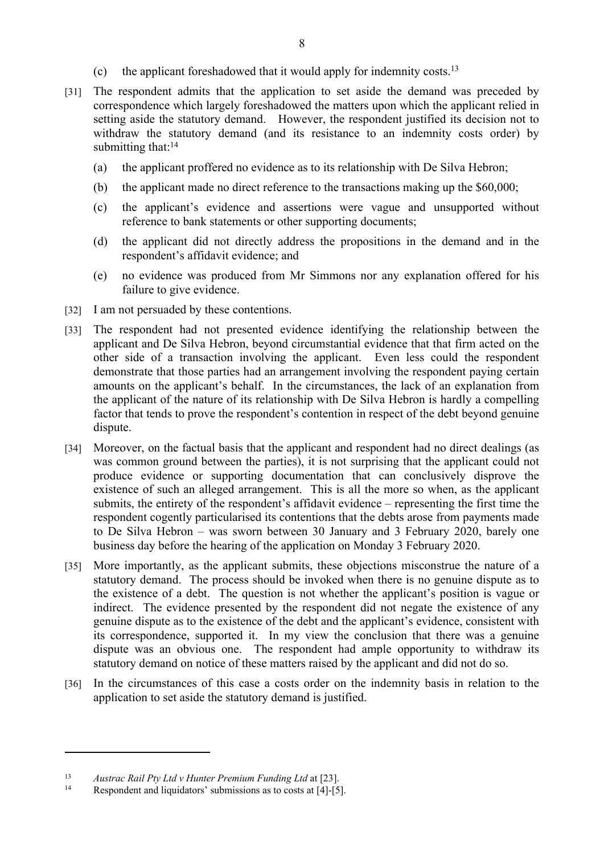- (c) the applicant foreshadowed that it would apply for indemnity costs.<sup>13</sup>
- [31] The respondent admits that the application to set aside the demand was preceded by correspondence which largely foreshadowed the matters upon which the applicant relied in setting aside the statutory demand. However, the respondent justified its decision not to withdraw the statutory demand (and its resistance to an indemnity costs order) by submitting that:<sup>14</sup>
	- (a) the applicant proffered no evidence as to its relationship with De Silva Hebron;
	- (b) the applicant made no direct reference to the transactions making up the \$60,000;
	- (c) the applicant's evidence and assertions were vague and unsupported without reference to bank statements or other supporting documents;
	- (d) the applicant did not directly address the propositions in the demand and in the respondent's affidavit evidence; and
	- (e) no evidence was produced from Mr Simmons nor any explanation offered for his failure to give evidence.
- [32] I am not persuaded by these contentions.
- [33] The respondent had not presented evidence identifying the relationship between the applicant and De Silva Hebron, beyond circumstantial evidence that that firm acted on the other side of a transaction involving the applicant. Even less could the respondent demonstrate that those parties had an arrangement involving the respondent paying certain amounts on the applicant's behalf. In the circumstances, the lack of an explanation from the applicant of the nature of its relationship with De Silva Hebron is hardly a compelling factor that tends to prove the respondent's contention in respect of the debt beyond genuine dispute.
- [34] Moreover, on the factual basis that the applicant and respondent had no direct dealings (as was common ground between the parties), it is not surprising that the applicant could not produce evidence or supporting documentation that can conclusively disprove the existence of such an alleged arrangement. This is all the more so when, as the applicant submits, the entirety of the respondent's affidavit evidence – representing the first time the respondent cogently particularised its contentions that the debts arose from payments made to De Silva Hebron – was sworn between 30 January and 3 February 2020, barely one business day before the hearing of the application on Monday 3 February 2020.
- [35] More importantly, as the applicant submits, these objections misconstrue the nature of a statutory demand. The process should be invoked when there is no genuine dispute as to the existence of a debt. The question is not whether the applicant's position is vague or indirect. The evidence presented by the respondent did not negate the existence of any genuine dispute as to the existence of the debt and the applicant's evidence, consistent with its correspondence, supported it. In my view the conclusion that there was a genuine dispute was an obvious one. The respondent had ample opportunity to withdraw its statutory demand on notice of these matters raised by the applicant and did not do so.
- [36] In the circumstances of this case a costs order on the indemnity basis in relation to the application to set aside the statutory demand is justified.

<sup>13</sup> *Austrac Rail Pty Ltd v Hunter Premium Funding Ltd* at [23].

Respondent and liquidators' submissions as to costs at [4]-[5].